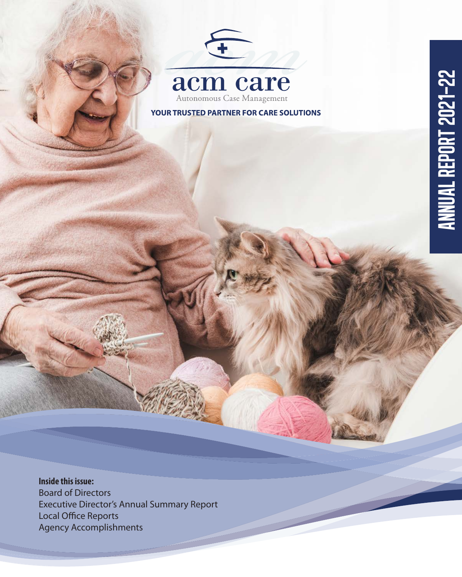YOUR TRUSTED PARTNER FOR CARE SOLUTIONS

**Inside this issue:**  Board of Directors Executive Director's Annual Summary Report Local Office Reports Agency Accomplishments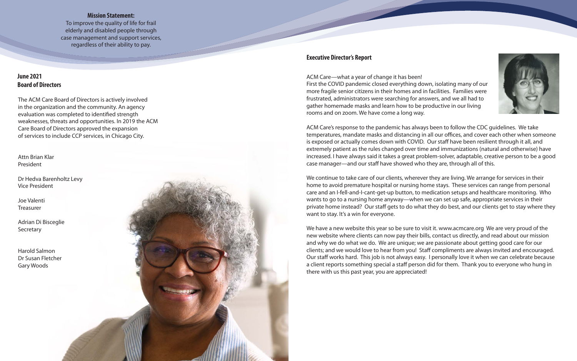The ACM Care Board of Directors is actively involved in the organization and the community. An agency evaluation was completed to identified strength weaknesses, threats and opportunities. In 2019 the ACM Care Board of Directors approved the expansion of services to include CCP services, in Chicago City.

## **June 2021 Board of Directors**

### **Executive Director's Report**

ACM Care—what a year of change it has been! First the COVID pandemic closed everything down, isolating many of our more fragile senior citizens in their homes and in facilities. Families were frustrated, administrators were searching for answers, and we all had to gather homemade masks and learn how to be productive in our living rooms and on zoom. We have come a long way.

ACM Care's response to the pandemic has always been to follow the CDC guidelines. We take temperatures, mandate masks and distancing in all our offices, and cover each other when someone is exposed or actually comes down with COVID. Our staff have been resilient through it all, and extremely patient as the rules changed over time and immunizations (natural and otherwise) have increased. I have always said it takes a great problem-solver, adaptable, creative person to be a good case manager—and our staff have showed who they are, through all of this.

We continue to take care of our clients, wherever they are living. We arrange for services in their home to avoid premature hospital or nursing home stays. These services can range from personal care and an I-fell-and-I-cant-get-up button, to medication setups and healthcare monitoring. Who wants to go to a nursing home anyway—when we can set up safe, appropriate services in their private home instead? Our staff gets to do what they do best, and our clients get to stay where they want to stay. It's a win for everyone.

We have a new website this year so be sure to visit it. www.acmcare.org We are very proud of the new website where clients can now pay their bills, contact us directly, and read about our mission and why we do what we do. We are unique; we are passionate about getting good care for our clients; and we would love to hear from you! Staff compliments are always invited and encouraged. Our staff works hard. This job is not always easy. I personally love it when we can celebrate because a client reports something special a staff person did for them. Thank you to everyone who hung in there with us this past year, you are appreciated!



#### **Mission Statement:**

To improve the quality of life for frail elderly and disabled people through case management and support services, regardless of their ability to pay.

Attn Brian Klar President

Dr Hedva Barenholtz Levy Vice President

Joe Valenti Treasurer

Adrian Di Bisceglie Secretary

Harold Salmon Dr Susan Fletcher Gary Woods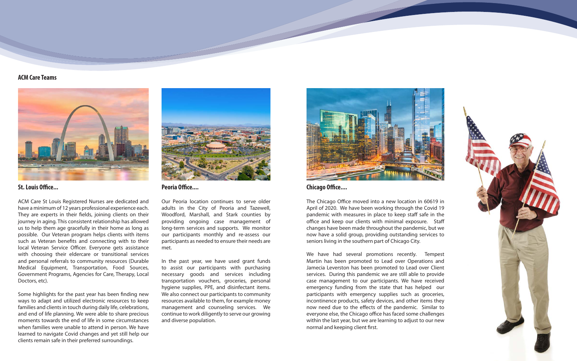#### **ACM Care Teams**



**St. Louis Office...**

ACM Care St Louis Registered Nurses are dedicated and have a minimum of 12 years professional experience each. They are experts in their fields, joining clients on their journey in aging. This consistent relationship has allowed us to help them age gracefully in their home as long as possible. Our Veteran program helps clients with items such as Veteran benefits and connecting with to their local Veteran Service Officer. Everyone gets assistance with choosing their eldercare or transitional services and personal referrals to community resources (Durable Medical Equipment, Transportation, Food Sources, Government Programs, Agencies for Care, Therapy, Local Doctors, etc).

Some highlights for the past year has been finding new ways to adapt and utilized electronic resources to keep families and clients in touch during daily life, celebrations, and end of life planning. We were able to share precious moments towards the end of life in some circumstances when families were unable to attend in person. We have learned to navigate Covid changes and yet still help our clients remain safe in their preferred surroundings.

We have had several promotions recently. Tempest Martin has been promoted to Lead over Operations and Jamecia Leverston has been promoted to Lead over Client services. During this pandemic we are still able to provide case management to our participants. We have received emergency funding from the state that has helped our participants with emergency supplies such as groceries, incontinence products, safety devices, and other items they now need due to the effects of the pandemic. Similar to everyone else, the Chicago office has faced some challenges within the last year, but we are learning to adjust to our new normal and keeping client first.





**Chicago Office....** 

The Chicago Office moved into a new location in 60619 in April of 2020. We have been working through the Covid 19 pandemic with measures in place to keep staff safe in the office and keep our clients with minimal exposure. Staff changes have been made throughout the pandemic, but we now have a solid group, providing outstanding services to seniors living in the southern part of Chicago City.



**Peoria Office....** 

Our Peoria location continues to serve older adults in the City of Peoria and Tazewell, Woodford, Marshall, and Stark counties by providing ongoing case management of long-term services and supports. We monitor our participants monthly and re-assess our participants as needed to ensure their needs are met.

In the past year, we have used grant funds to assist our participants with purchasing necessary goods and services including transportation vouchers, groceries, personal hygiene supplies, PPE, and disinfectant items. We also connect our participants to community resources available to them, for example money management and counseling services. We continue to work diligently to serve our growing and diverse population.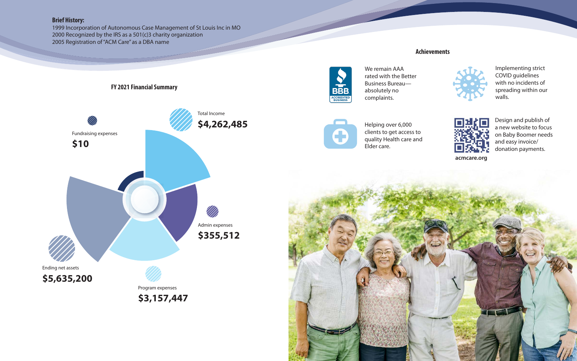#### **Achievements**

We remain AAA rated with the Better Business Bureau absolutely no complaints.







# **Brief History:**

1999 Incorporation of Autonomous Case Management of St Louis Inc in MO 2000 Recognized by the IRS as a 501(c)3 charity organization 2005 Registration of "ACM Care" as a DBA name

> Helping over 6,000 clients to get access to quality Health care and Elder care.

Implementing strict COVID guidelines with no incidents of spreading within our walls.



Design and publish of a new website to focus on Baby Boomer needs and easy invoice/ donation payments.